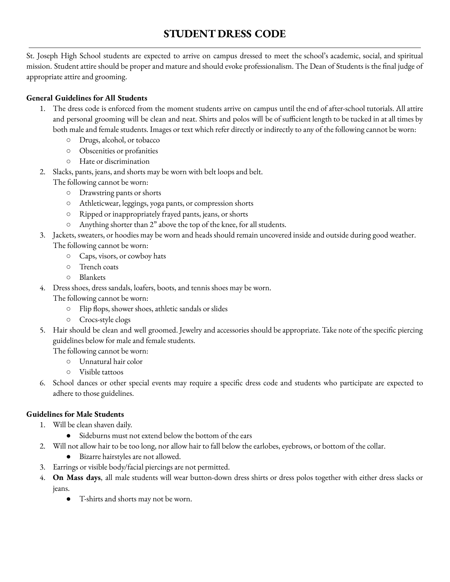# **STUDENT DRESS CODE**

St. Joseph High School students are expected to arrive on campus dressed to meet the school's academic, social, and spiritual mission. Student attire should be proper and mature and should evoke professionalism. The Dean of Students is the final judge of appropriate attire and grooming.

## **General Guidelines for All Students**

- 1. The dress code is enforced from the moment students arrive on campus until the end of after-school tutorials. All attire and personal grooming will be clean and neat. Shirts and polos will be of sufficient length to be tucked in at all times by both male and female students. Images or text which refer directly or indirectly to any of the following cannot be worn:
	- Drugs, alcohol, or tobacco
	- Obscenities or profanities
	- Hate or discrimination
- 2. Slacks, pants, jeans, and shorts may be worn with belt loops and belt. The following cannot be worn:
	- Drawstring pants or shorts
	- Athleticwear, leggings, yoga pants, or compression shorts
	- Ripped or inappropriately frayed pants, jeans, or shorts
	- Anything shorter than 2" above the top of the knee, for all students.
- 3. Jackets, sweaters, or hoodies may be worn and heads should remain uncovered inside and outside during good weather. The following cannot be worn:
	- Caps, visors, or cowboy hats
	- Trench coats
	- Blankets
- 4. Dress shoes, dress sandals, loafers, boots, and tennis shoes may be worn.

The following cannot be worn:

- Flip flops, shower shoes, athletic sandals or slides
- Crocs-style clogs
- 5. Hair should be clean and well groomed. Jewelry and accessories should be appropriate. Take note of the specific piercing guidelines below for male and female students.

The following cannot be worn:

- Unnatural hair color
- Visible tattoos
- 6. School dances or other special events may require a specific dress code and students who participate are expected to adhere to those guidelines.

## **Guidelines for Male Students**

- 1. Will be clean shaven daily.
	- Sideburns must not extend below the bottom of the ears
- 2. Will not allow hair to be too long, nor allow hair to fall below the earlobes, eyebrows, or bottom of the collar.
	- Bizarre hairstyles are not allowed.
- 3. Earrings or visible body/facial piercings are not permitted.
- 4. **On Mass days**, all male students will wear button-down dress shirts or dress polos together with either dress slacks or jeans.
	- T-shirts and shorts may not be worn.